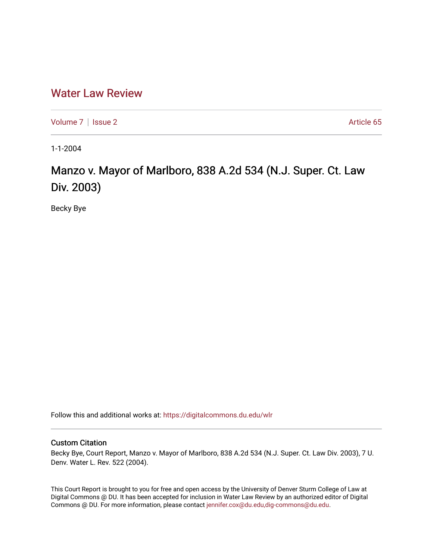## [Water Law Review](https://digitalcommons.du.edu/wlr)

[Volume 7](https://digitalcommons.du.edu/wlr/vol7) | [Issue 2](https://digitalcommons.du.edu/wlr/vol7/iss2) Article 65

1-1-2004

## Manzo v. Mayor of Marlboro, 838 A.2d 534 (N.J. Super. Ct. Law Div. 2003)

Becky Bye

Follow this and additional works at: [https://digitalcommons.du.edu/wlr](https://digitalcommons.du.edu/wlr?utm_source=digitalcommons.du.edu%2Fwlr%2Fvol7%2Fiss2%2F65&utm_medium=PDF&utm_campaign=PDFCoverPages) 

## Custom Citation

Becky Bye, Court Report, Manzo v. Mayor of Marlboro, 838 A.2d 534 (N.J. Super. Ct. Law Div. 2003), 7 U. Denv. Water L. Rev. 522 (2004).

This Court Report is brought to you for free and open access by the University of Denver Sturm College of Law at Digital Commons @ DU. It has been accepted for inclusion in Water Law Review by an authorized editor of Digital Commons @ DU. For more information, please contact [jennifer.cox@du.edu,dig-commons@du.edu.](mailto:jennifer.cox@du.edu,dig-commons@du.edu)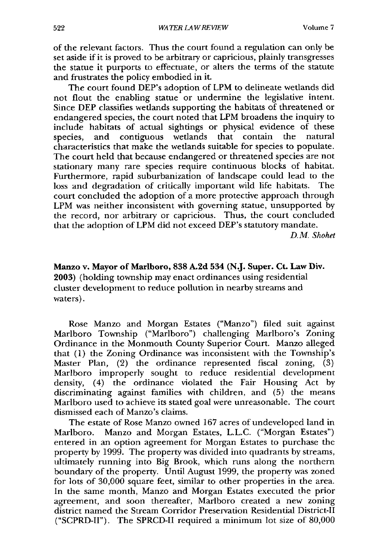of the relevant factors. Thus the court found a regulation can only be set aside if it is proved to be arbitrary or capricious, plainly transgresses the statue it purports to effectuate, or alters the terms of the statute and frustrates the policy embodied in it.

The court found DEP's adoption of LPM to delineate wetlands did not flout the enabling statue or undermine the legislative intent. Since DEP classifies wetlands supporting the habitats of threatened or endangered species, the court noted that LPM broadens the inquiry to include habitats of actual sightings or physical evidence of these species, and contiguous wetlands that contain the natural characteristics that make the wetlands suitable for species to populate. The court held that because endangered or threatened species are not stationary many rare species require continuous blocks of habitat. Furthermore, rapid suburbanization of landscape could lead to the loss and degradation of critically important wild life habitats. The court concluded the adoption of a more protective approach through LPM was neither inconsistent with governing statue, unsupported by the record, nor arbitrary or capricious. Thus, the court concluded that the adoption of LPM did not exceed DEP's statutory mandate.

*D.M. Shohet*

Manzo v. Mayor of Marlboro, **838 A.2d** 534 **(N.J.** Super. Ct. **Law Div. 2003)** (holding township may enact ordinances using residential cluster development to reduce pollution in nearby streams and waters).

Rose Manzo and Morgan Estates ("Manzo") filed suit against Marlboro Township ("Marlboro") challenging Marlboro's Zoning Ordinance in the Monmouth County Superior Court. Manzo alleged that (1) the Zoning Ordinance was inconsistent with the Township's Master Plan, (2) the ordinance represented fiscal zoning, (3) Marlboro improperly sought to reduce residential development density, (4) the ordinance violated the Fair Housing Act by discriminating against families with children, and (5) the means Marlboro used to achieve its stated goal were unreasonable. The court dismissed each of Manzo's claims.

The estate of Rose Manzo owned 167 acres of undeveloped land in Marlboro. Manzo and Morgan Estates, L.L.C. ("Morgan Estates") entered in an option agreement for Morgan Estates to purchase the property by 1999. The property was divided into quadrants by streams, ultimately running into Big Brook, which runs along the northern boundary of the property. Until August 1999, the property was zoned for lots of 30,000 square feet, similar to other properties in the area. In the same month, Manzo and Morgan Estates executed the prior agreement, and soon thereafter, Marlboro created a new zoning district named the Stream Corridor Preservation Residential District-Il ("SCPRD-II"). The SPRCD-II required a minimum lot size of 80,000